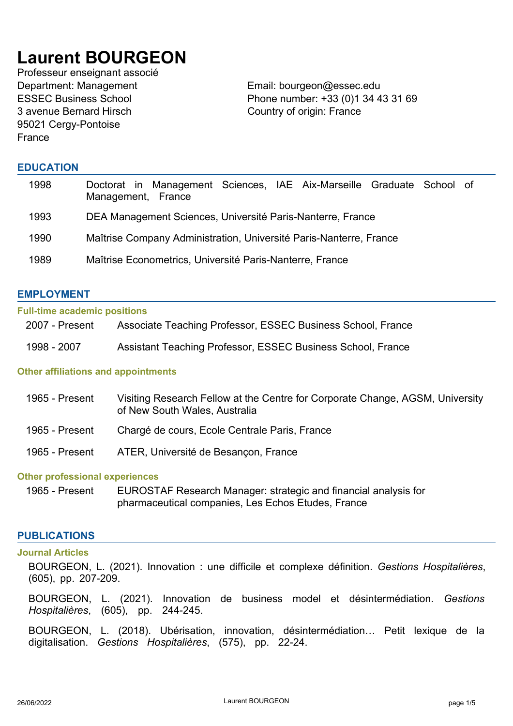# **Laurent BOURGEON**

Professeur enseignant associé Department: Management Email: bourgeon@essec.edu ESSEC Business School 3 avenue Bernard Hirsch 95021 Cergy-Pontoise France

Phone number: +33 (0)1 34 43 31 69 Country of origin: France

# **EDUCATION**

| 1998 | Doctorat in Management Sciences, IAE Aix-Marseille Graduate School of<br>Management, France |
|------|---------------------------------------------------------------------------------------------|
| 1993 | DEA Management Sciences, Université Paris-Nanterre, France                                  |
| 1990 | Maîtrise Company Administration, Université Paris-Nanterre, France                          |
| 1989 | Maîtrise Econometrics, Université Paris-Nanterre, France                                    |

# **EMPLOYMENT**

#### **Full-time academic positions**

| 2007 - Present | Associate Teaching Professor, ESSEC Business School, France |
|----------------|-------------------------------------------------------------|
| 1998 - 2007    | Assistant Teaching Professor, ESSEC Business School, France |

# **Other affiliations and appointments**

| 1965 - Present | Visiting Research Fellow at the Centre for Corporate Change, AGSM, University<br>of New South Wales, Australia |
|----------------|----------------------------------------------------------------------------------------------------------------|
| 1965 - Present | Chargé de cours, Ecole Centrale Paris, France                                                                  |
| 1965 - Present | ATER, Université de Besançon, France                                                                           |

## **Other professional experiences**

1965 - Present EUROSTAF Research Manager: strategic and financial analysis for pharmaceutical companies, Les Echos Etudes, France

# **PUBLICATIONS**

#### **Journal Articles**

BOURGEON, L. (2021). Innovation : une difficile et complexe définition. *Gestions Hospitalières*, (605), pp. 207-209.

BOURGEON, L. (2021). Innovation de business model et désintermédiation. *Gestions Hospitalières*, (605), pp. 244-245.

BOURGEON, L. (2018). Ubérisation, innovation, désintermédiation… Petit lexique de la digitalisation. *Gestions Hospitalières*, (575), pp. 22-24.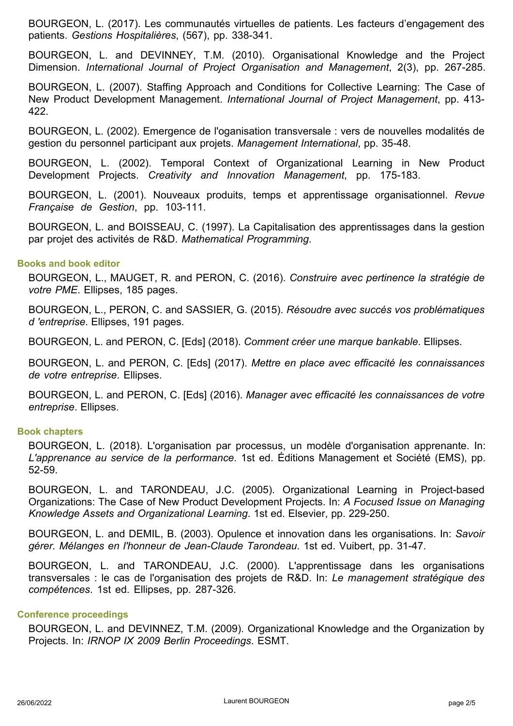BOURGEON, L. (2017). Les communautés virtuelles de patients. Les facteurs d'engagement des patients. *Gestions Hospitalières*, (567), pp. 338-341.

BOURGEON, L. and DEVINNEY, T.M. (2010). Organisational Knowledge and the Project Dimension. *International Journal of Project Organisation and Management*, 2(3), pp. 267-285.

BOURGEON, L. (2007). Staffing Approach and Conditions for Collective Learning: The Case of New Product Development Management. *International Journal of Project Management*, pp. 413- 422.

BOURGEON, L. (2002). Emergence de l'oganisation transversale : vers de nouvelles modalités de gestion du personnel participant aux projets. *Management International*, pp. 35-48.

BOURGEON, L. (2002). Temporal Context of Organizational Learning in New Product Development Projects. *Creativity and Innovation Management*, pp. 175-183.

BOURGEON, L. (2001). Nouveaux produits, temps et apprentissage organisationnel. *Revue Française de Gestion*, pp. 103-111.

BOURGEON, L. and BOISSEAU, C. (1997). La Capitalisation des apprentissages dans la gestion par projet des activités de R&D. *Mathematical Programming*.

#### **Books and book editor**

BOURGEON, L., MAUGET, R. and PERON, C. (2016). *Construire avec pertinence la stratégie de votre PME*. Ellipses, 185 pages.

BOURGEON, L., PERON, C. and SASSIER, G. (2015). *Résoudre avec succés vos problématiques d 'entreprise*. Ellipses, 191 pages.

BOURGEON, L. and PERON, C. [Eds] (2018). *Comment créer une marque bankable*. Ellipses.

BOURGEON, L. and PERON, C. [Eds] (2017). *Mettre en place avec efficacité les connaissances de votre entreprise*. Ellipses.

BOURGEON, L. and PERON, C. [Eds] (2016). *Manager avec efficacité les connaissances de votre entreprise*. Ellipses.

#### **Book chapters**

BOURGEON, L. (2018). L'organisation par processus, un modèle d'organisation apprenante. In: *L'apprenance au service de la performance*. 1st ed. Éditions Management et Société (EMS), pp. 52-59.

BOURGEON, L. and TARONDEAU, J.C. (2005). Organizational Learning in Project-based Organizations: The Case of New Product Development Projects. In: *A Focused Issue on Managing Knowledge Assets and Organizational Learning*. 1st ed. Elsevier, pp. 229-250.

BOURGEON, L. and DEMIL, B. (2003). Opulence et innovation dans les organisations. In: *Savoir gérer. Mélanges en l'honneur de Jean-Claude Tarondeau*. 1st ed. Vuibert, pp. 31-47.

BOURGEON, L. and TARONDEAU, J.C. (2000). L'apprentissage dans les organisations transversales : le cas de l'organisation des projets de R&D. In: *Le management stratégique des compétences*. 1st ed. Ellipses, pp. 287-326.

#### **Conference proceedings**

BOURGEON, L. and DEVINNEZ, T.M. (2009). Organizational Knowledge and the Organization by Projects. In: *IRNOP IX 2009 Berlin Proceedings*. ESMT.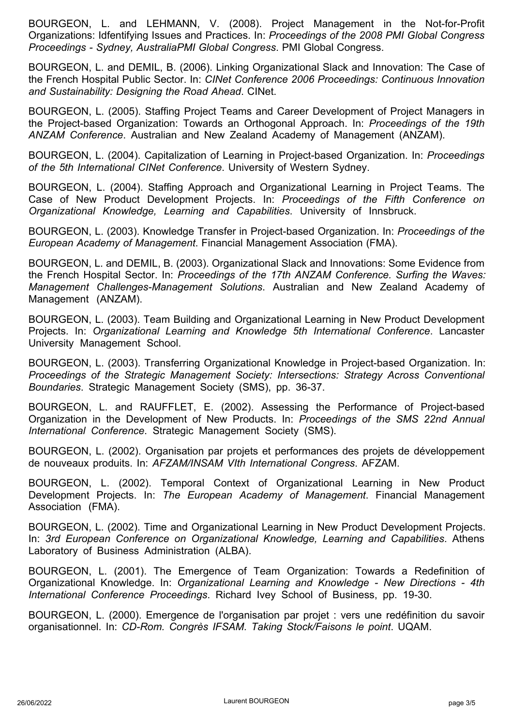BOURGEON, L. and LEHMANN, V. (2008). Project Management in the Not-for-Profit Organizations: Idfentifying Issues and Practices. In: *Proceedings of the 2008 PMI Global Congress Proceedings - Sydney, AustraliaPMI Global Congress*. PMI Global Congress.

BOURGEON, L. and DEMIL, B. (2006). Linking Organizational Slack and Innovation: The Case of the French Hospital Public Sector. In: *CINet Conference 2006 Proceedings: Continuous Innovation and Sustainability: Designing the Road Ahead*. CINet.

BOURGEON, L. (2005). Staffing Project Teams and Career Development of Project Managers in the Project-based Organization: Towards an Orthogonal Approach. In: *Proceedings of the 19th ANZAM Conference*. Australian and New Zealand Academy of Management (ANZAM).

BOURGEON, L. (2004). Capitalization of Learning in Project-based Organization. In: *Proceedings of the 5th International CINet Conference*. University of Western Sydney.

BOURGEON, L. (2004). Staffing Approach and Organizational Learning in Project Teams. The Case of New Product Development Projects. In: *Proceedings of the Fifth Conference on Organizational Knowledge, Learning and Capabilities*. University of Innsbruck.

BOURGEON, L. (2003). Knowledge Transfer in Project-based Organization. In: *Proceedings of the European Academy of Management*. Financial Management Association (FMA).

BOURGEON, L. and DEMIL, B. (2003). Organizational Slack and Innovations: Some Evidence from the French Hospital Sector. In: *Proceedings of the 17th ANZAM Conference. Surfing the Waves: Management Challenges-Management Solutions*. Australian and New Zealand Academy of Management (ANZAM).

BOURGEON, L. (2003). Team Building and Organizational Learning in New Product Development Projects. In: *Organizational Learning and Knowledge 5th International Conference*. Lancaster University Management School.

BOURGEON, L. (2003). Transferring Organizational Knowledge in Project-based Organization. In: *Proceedings of the Strategic Management Society: Intersections: Strategy Across Conventional Boundaries*. Strategic Management Society (SMS), pp. 36-37.

BOURGEON, L. and RAUFFLET, E. (2002). Assessing the Performance of Project-based Organization in the Development of New Products. In: *Proceedings of the SMS 22nd Annual International Conference*. Strategic Management Society (SMS).

BOURGEON, L. (2002). Organisation par projets et performances des projets de développement de nouveaux produits. In: *AFZAM/INSAM VIth International Congress*. AFZAM.

BOURGEON, L. (2002). Temporal Context of Organizational Learning in New Product Development Projects. In: *The European Academy of Management*. Financial Management Association (FMA).

BOURGEON, L. (2002). Time and Organizational Learning in New Product Development Projects. In: *3rd European Conference on Organizational Knowledge, Learning and Capabilities*. Athens Laboratory of Business Administration (ALBA).

BOURGEON, L. (2001). The Emergence of Team Organization: Towards a Redefinition of Organizational Knowledge. In: *Organizational Learning and Knowledge - New Directions - 4th International Conference Proceedings*. Richard Ivey School of Business, pp. 19-30.

BOURGEON, L. (2000). Emergence de l'organisation par projet : vers une redéfinition du savoir organisationnel. In: *CD-Rom. Congrès IFSAM. Taking Stock/Faisons le point*. UQAM.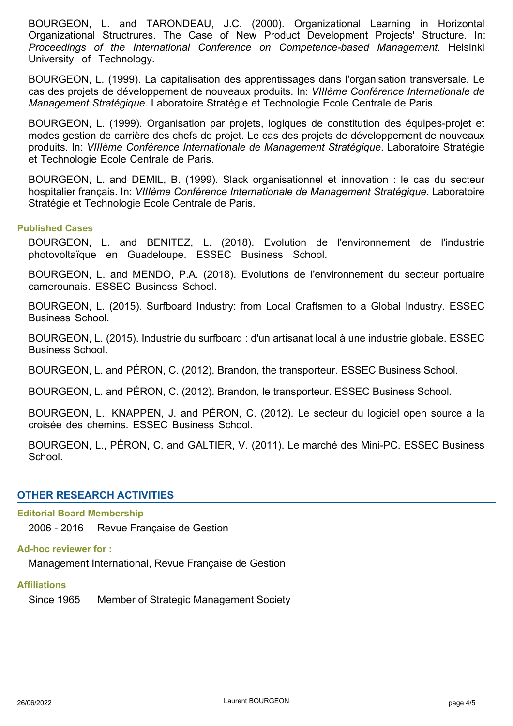BOURGEON, L. and TARONDEAU, J.C. (2000). Organizational Learning in Horizontal Organizational Structrures. The Case of New Product Development Projects' Structure. In: *Proceedings of the International Conference on Competence-based Management*. Helsinki University of Technology.

BOURGEON, L. (1999). La capitalisation des apprentissages dans l'organisation transversale. Le cas des projets de développement de nouveaux produits. In: *VIIIème Conférence Internationale de Management Stratégique*. Laboratoire Stratégie et Technologie Ecole Centrale de Paris.

BOURGEON, L. (1999). Organisation par projets, logiques de constitution des équipes-projet et modes gestion de carrière des chefs de projet. Le cas des projets de développement de nouveaux produits. In: *VIIIème Conférence Internationale de Management Stratégique*. Laboratoire Stratégie et Technologie Ecole Centrale de Paris.

BOURGEON, L. and DEMIL, B. (1999). Slack organisationnel et innovation : le cas du secteur hospitalier français. In: *VIIIème Conférence Internationale de Management Stratégique*. Laboratoire Stratégie et Technologie Ecole Centrale de Paris.

### **Published Cases**

BOURGEON, L. and BENITEZ, L. (2018). Evolution de l'environnement de l'industrie photovoltaïque en Guadeloupe. ESSEC Business School.

BOURGEON, L. and MENDO, P.A. (2018). Evolutions de l'environnement du secteur portuaire camerounais. ESSEC Business School.

BOURGEON, L. (2015). Surfboard Industry: from Local Craftsmen to a Global Industry. ESSEC Business School.

BOURGEON, L. (2015). Industrie du surfboard : d'un artisanat local à une industrie globale. ESSEC Business School.

BOURGEON, L. and PÉRON, C. (2012). Brandon, the transporteur. ESSEC Business School.

BOURGEON, L. and PÉRON, C. (2012). Brandon, le transporteur. ESSEC Business School.

BOURGEON, L., KNAPPEN, J. and PÉRON, C. (2012). Le secteur du logiciel open source a la croisée des chemins. ESSEC Business School.

BOURGEON, L., PÉRON, C. and GALTIER, V. (2011). Le marché des Mini-PC. ESSEC Business School.

# **OTHER RESEARCH ACTIVITIES**

# **Editorial Board Membership**

2006 - 2016 Revue Française de Gestion

## **Ad-hoc reviewer for :**

Management International, Revue Française de Gestion

#### **Affiliations**

Since 1965 Member of Strategic Management Society